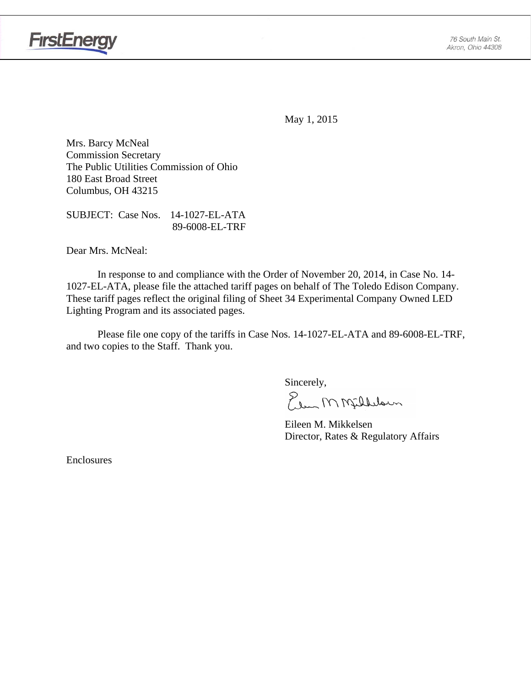

May 1, 2015

Mrs. Barcy McNeal Commission Secretary The Public Utilities Commission of Ohio 180 East Broad Street Columbus, OH 43215

SUBJECT: Case Nos. 14-1027-EL-ATA 89-6008-EL-TRF

Dear Mrs. McNeal:

 In response to and compliance with the Order of November 20, 2014, in Case No. 14- 1027-EL-ATA, please file the attached tariff pages on behalf of The Toledo Edison Company. These tariff pages reflect the original filing of Sheet 34 Experimental Company Owned LED Lighting Program and its associated pages.

Please file one copy of the tariffs in Case Nos. 14-1027-EL-ATA and 89-6008-EL-TRF, and two copies to the Staff. Thank you.

Sincerely,

Elem M Milleloun

 Eileen M. Mikkelsen Director, Rates & Regulatory Affairs

Enclosures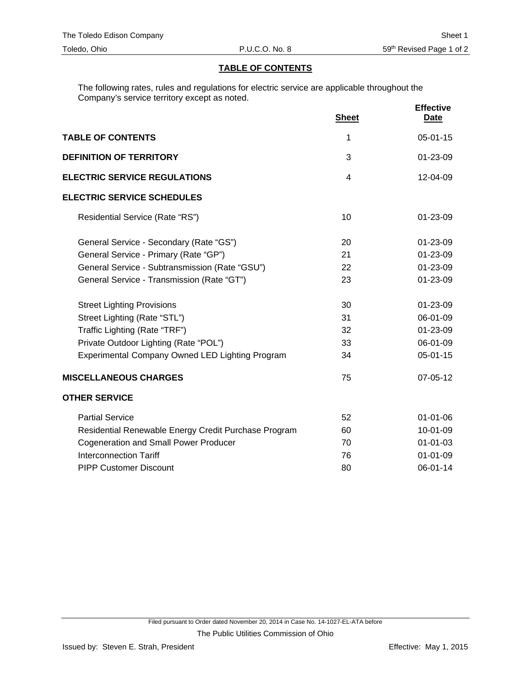#### **TABLE OF CONTENTS**

The following rates, rules and regulations for electric service are applicable throughout the Company's service territory except as noted.

|                                                      | <b>Sheet</b> | <b>Effective</b><br><b>Date</b> |
|------------------------------------------------------|--------------|---------------------------------|
| <b>TABLE OF CONTENTS</b>                             | 1            | $05 - 01 - 15$                  |
| <b>DEFINITION OF TERRITORY</b>                       | 3            | $01 - 23 - 09$                  |
| <b>ELECTRIC SERVICE REGULATIONS</b>                  | 4            | 12-04-09                        |
| <b>ELECTRIC SERVICE SCHEDULES</b>                    |              |                                 |
| Residential Service (Rate "RS")                      | 10           | 01-23-09                        |
| General Service - Secondary (Rate "GS")              | 20           | 01-23-09                        |
| General Service - Primary (Rate "GP")                | 21           | 01-23-09                        |
| General Service - Subtransmission (Rate "GSU")       | 22           | 01-23-09                        |
| General Service - Transmission (Rate "GT")           | 23           | 01-23-09                        |
| <b>Street Lighting Provisions</b>                    | 30           | 01-23-09                        |
| Street Lighting (Rate "STL")                         | 31           | 06-01-09                        |
| Traffic Lighting (Rate "TRF")                        | 32           | 01-23-09                        |
| Private Outdoor Lighting (Rate "POL")                | 33           | 06-01-09                        |
| Experimental Company Owned LED Lighting Program      | 34           | 05-01-15                        |
| <b>MISCELLANEOUS CHARGES</b>                         | 75           | 07-05-12                        |
| <b>OTHER SERVICE</b>                                 |              |                                 |
| <b>Partial Service</b>                               | 52           | $01 - 01 - 06$                  |
| Residential Renewable Energy Credit Purchase Program | 60           | 10-01-09                        |
| <b>Cogeneration and Small Power Producer</b>         | 70           | $01 - 01 - 03$                  |
| <b>Interconnection Tariff</b>                        | 76           | $01 - 01 - 09$                  |
| <b>PIPP Customer Discount</b>                        | 80           | 06-01-14                        |
|                                                      |              |                                 |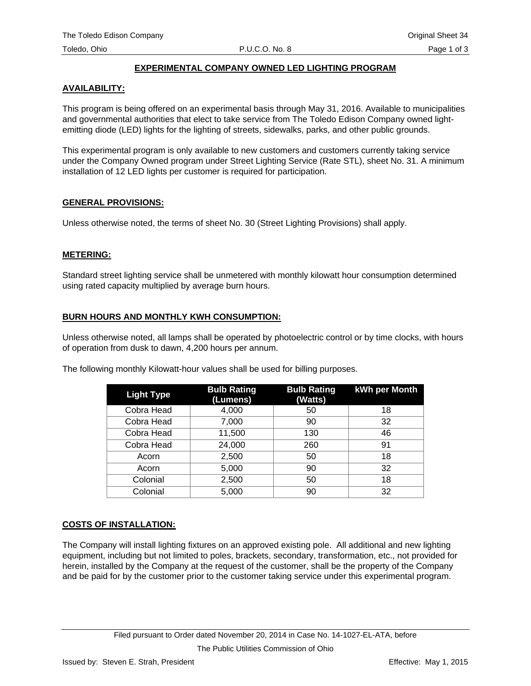# **EXPERIMENTAL COMPANY OWNED LED LIGHTING PROGRAM**

# **AVAILABILITY:**

This program is being offered on an experimental basis through May 31, 2016. Available to municipalities and governmental authorities that elect to take service from The Toledo Edison Company owned lightemitting diode (LED) lights for the lighting of streets, sidewalks, parks, and other public grounds.

This experimental program is only available to new customers and customers currently taking service under the Company Owned program under Street Lighting Service (Rate STL), sheet No. 31. A minimum installation of 12 LED lights per customer is required for participation.

## **GENERAL PROVISIONS:**

Unless otherwise noted, the terms of sheet No. 30 (Street Lighting Provisions) shall apply.

# **METERING:**

Standard street lighting service shall be unmetered with monthly kilowatt hour consumption determined using rated capacity multiplied by average burn hours.

# **BURN HOURS AND MONTHLY KWH CONSUMPTION:**

Unless otherwise noted, all lamps shall be operated by photoelectric control or by time clocks, with hours of operation from dusk to dawn, 4,200 hours per annum.

| The following monthly Kilowatt-hour values shall be used for billing purposes. |  |
|--------------------------------------------------------------------------------|--|
|--------------------------------------------------------------------------------|--|

| <b>Light Type</b> | <b>Bulb Rating</b><br>(Lumens) | <b>Bulb Rating</b><br>(Watts) | <b>kWh per Month</b> |
|-------------------|--------------------------------|-------------------------------|----------------------|
| Cobra Head        | 4,000                          | 50                            | 18                   |
| Cobra Head        | 7,000                          | 90                            | 32                   |
| Cobra Head        | 11,500                         | 130                           | 46                   |
| Cobra Head        | 24,000                         | 260                           | 91                   |
| Acorn             | 2,500                          | 50                            | 18                   |
| Acorn             | 5,000                          | 90                            | 32                   |
| Colonial          | 2,500                          | 50                            | 18                   |
| Colonial          | 5,000                          | 90                            | 32                   |

# **COSTS OF INSTALLATION:**

The Company will install lighting fixtures on an approved existing pole. All additional and new lighting equipment, including but not limited to poles, brackets, secondary, transformation, etc., not provided for herein, installed by the Company at the request of the customer, shall be the property of the Company and be paid for by the customer prior to the customer taking service under this experimental program.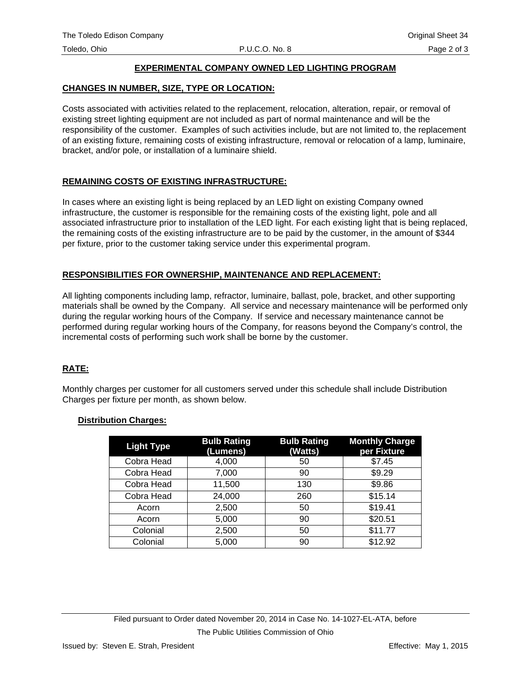## **EXPERIMENTAL COMPANY OWNED LED LIGHTING PROGRAM**

### **CHANGES IN NUMBER, SIZE, TYPE OR LOCATION:**

Costs associated with activities related to the replacement, relocation, alteration, repair, or removal of existing street lighting equipment are not included as part of normal maintenance and will be the responsibility of the customer. Examples of such activities include, but are not limited to, the replacement of an existing fixture, remaining costs of existing infrastructure, removal or relocation of a lamp, luminaire, bracket, and/or pole, or installation of a luminaire shield.

## **REMAINING COSTS OF EXISTING INFRASTRUCTURE:**

In cases where an existing light is being replaced by an LED light on existing Company owned infrastructure, the customer is responsible for the remaining costs of the existing light, pole and all associated infrastructure prior to installation of the LED light. For each existing light that is being replaced, the remaining costs of the existing infrastructure are to be paid by the customer, in the amount of \$344 per fixture, prior to the customer taking service under this experimental program.

## **RESPONSIBILITIES FOR OWNERSHIP, MAINTENANCE AND REPLACEMENT:**

All lighting components including lamp, refractor, luminaire, ballast, pole, bracket, and other supporting materials shall be owned by the Company. All service and necessary maintenance will be performed only during the regular working hours of the Company. If service and necessary maintenance cannot be performed during regular working hours of the Company, for reasons beyond the Company's control, the incremental costs of performing such work shall be borne by the customer.

# **RATE:**

Monthly charges per customer for all customers served under this schedule shall include Distribution Charges per fixture per month, as shown below.

#### **Distribution Charges:**

| <b>Light Type</b> | <b>Bulb Rating</b><br>(Lumens) | <b>Bulb Rating</b><br>(Watts) | <b>Monthly Charge</b><br>per Fixture |
|-------------------|--------------------------------|-------------------------------|--------------------------------------|
| Cobra Head        | 4,000                          | 50                            | \$7.45                               |
| Cobra Head        | 7,000                          | 90                            | \$9.29                               |
| Cobra Head        | 11,500                         | 130                           | \$9.86                               |
| Cobra Head        | 24,000                         | 260                           | \$15.14                              |
| Acorn             | 2,500                          | 50                            | \$19.41                              |
| Acorn             | 5,000                          | 90                            | \$20.51                              |
| Colonial          | 2,500                          | 50                            | \$11.77                              |
| Colonial          | 5,000                          | 90                            | \$12.92                              |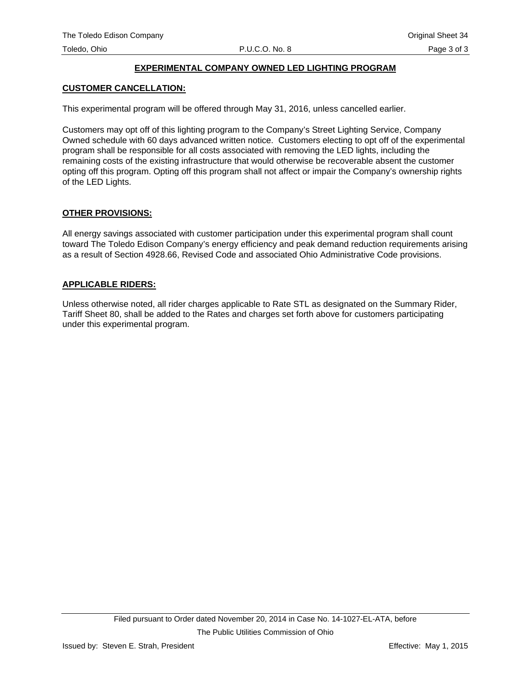# **EXPERIMENTAL COMPANY OWNED LED LIGHTING PROGRAM**

### **CUSTOMER CANCELLATION:**

This experimental program will be offered through May 31, 2016, unless cancelled earlier.

Customers may opt off of this lighting program to the Company's Street Lighting Service, Company Owned schedule with 60 days advanced written notice. Customers electing to opt off of the experimental program shall be responsible for all costs associated with removing the LED lights, including the remaining costs of the existing infrastructure that would otherwise be recoverable absent the customer opting off this program. Opting off this program shall not affect or impair the Company's ownership rights of the LED Lights.

#### **OTHER PROVISIONS:**

All energy savings associated with customer participation under this experimental program shall count toward The Toledo Edison Company's energy efficiency and peak demand reduction requirements arising as a result of Section 4928.66, Revised Code and associated Ohio Administrative Code provisions.

#### **APPLICABLE RIDERS:**

Unless otherwise noted, all rider charges applicable to Rate STL as designated on the Summary Rider, Tariff Sheet 80, shall be added to the Rates and charges set forth above for customers participating under this experimental program.